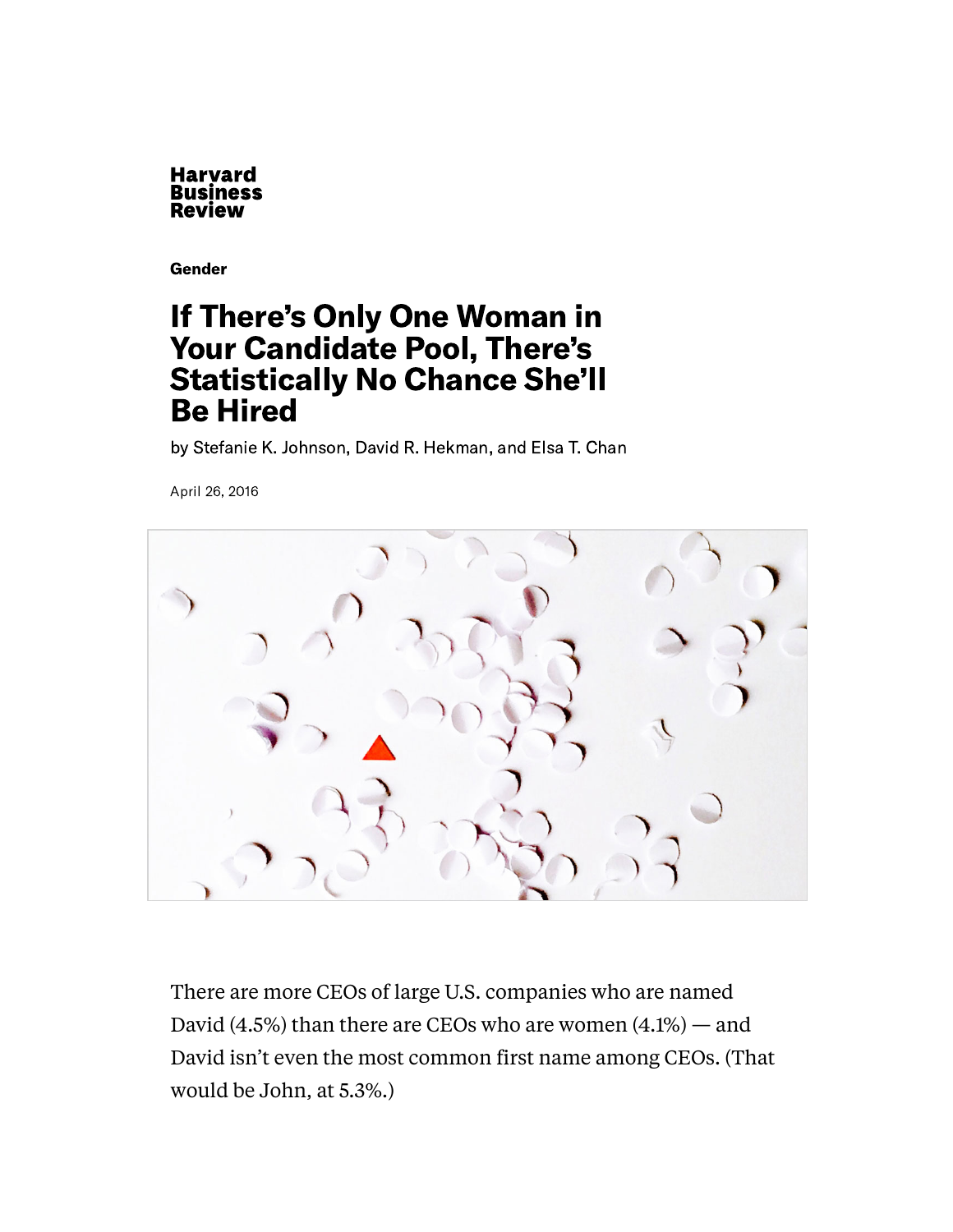

[Gender](https://hbr.org/topic/gender)

### If There's Only One Woman in Your Candidate Pool, There's Statistically No Chance She'll Be Hired

by Stefanie K. [Johnson,](https://hbr.org/search?term=stefanie%20k.%20johnson) David R. [Hekman,](https://hbr.org/search?term=david%20r.%20hekman) and Elsa T. [Chan](https://hbr.org/search?term=elsa%20t.%20chan)

April 26, 2016



There are more CEOs of large U.S. companies who are named [David](http://www.nytimes.com/2015/03/03/upshot/fewer-women-run-big-companies-than-men-named-john.html?_r=0)  $(4.5\%)$  than there are CEOs who are women  $(4.1\%)$  — and David isn't even the most common first name among CEOs. (That would be John, at 5.3%.)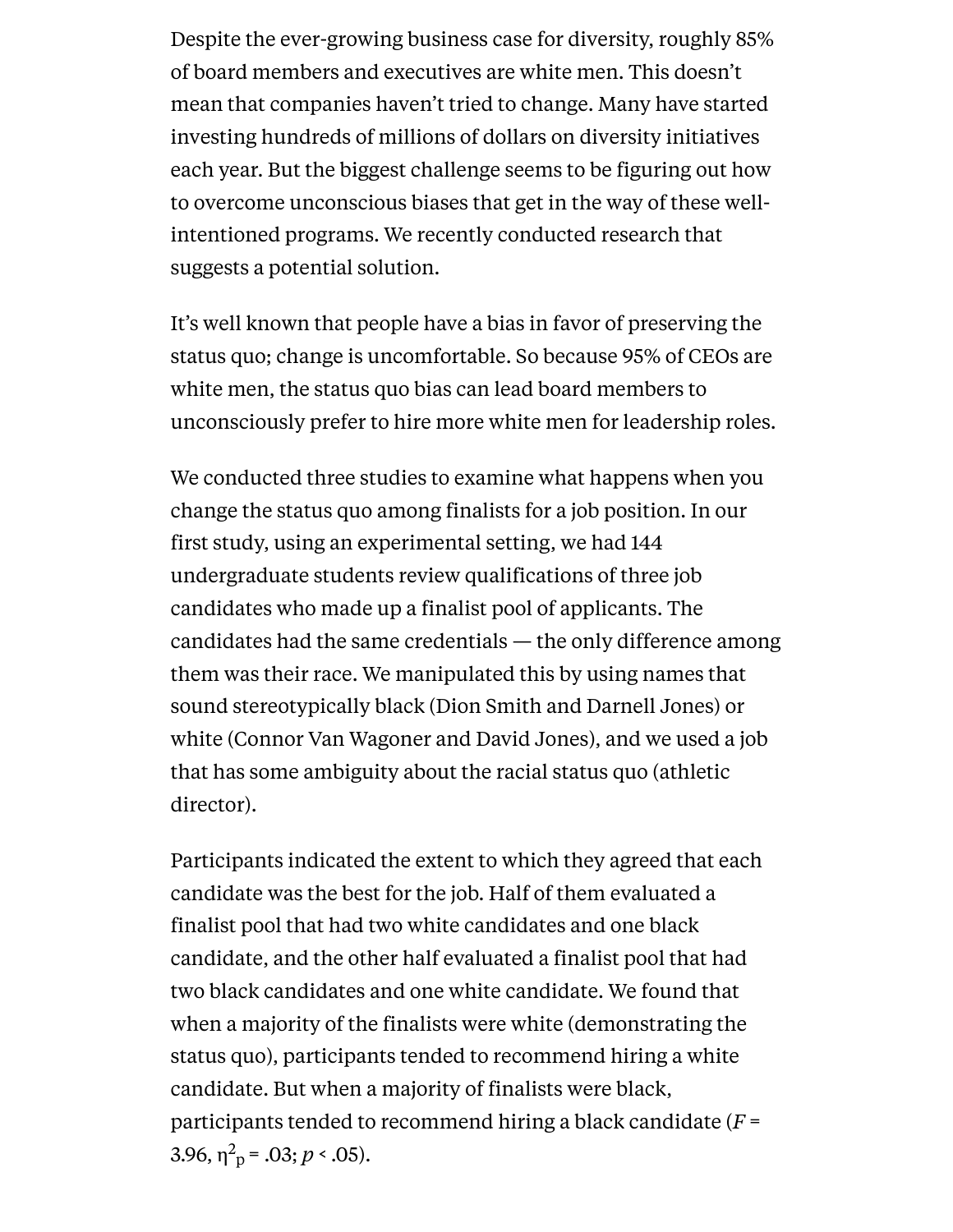Despite the ever-growing [business](http://www.forbes.com/sites/dorieclark/2014/08/21/making-the-business-case-for-diversity/#7e888dc619b3) case for diversity, roughly [85%](http://money.cnn.com/2015/03/24/investing/female-ceo-pipeline-leadership/) of board members and executives are white men. This doesn't mean that companies haven't tried to change. Many have started investing [hundreds](http://time.com/3849218/google-diversity-investment/) of millions of dollars on diversity initiatives each year. But the biggest challenge seems to be figuring out how to overcome unconscious biases that get in the way of these wellintentioned programs. We recently conducted research that suggests a potential solution.

It's well known that people have a bias in favor of preserving the status quo; change is [uncomfortable.](http://link.springer.com/article/10.1007%2FBF00055564) So because 95% of CEOs are white men, the status quo bias can lead board members to unconsciously prefer to hire more white men for leadership roles.

We conducted three studies to examine what happens when you change the status quo among finalists for a job position. In our first study, using an experimental setting, we had 144 undergraduate students review qualifications of three job candidates who made up a finalist pool of applicants. The candidates had the same credentials — the only difference among them was their race. We manipulated this by using names that sound stereotypically black (Dion Smith and Darnell Jones) or white (Connor Van Wagoner and David Jones), and we used a job that has some ambiguity about the racial status quo (athletic director).

Participants indicated the extent to which they agreed that each candidate was the best for the job. Half of them evaluated a finalist pool that had two white candidates and one black candidate, and the other half evaluated a finalist pool that had two black candidates and one white candidate. We found that when a majority of the finalists were white (demonstrating the status quo), participants tended to recommend hiring a white candidate. But when a majority of finalists were black, participants tended to recommend hiring a black candidate (*F* = 3.96,  $\eta^2 p = .03; p < .05$ ).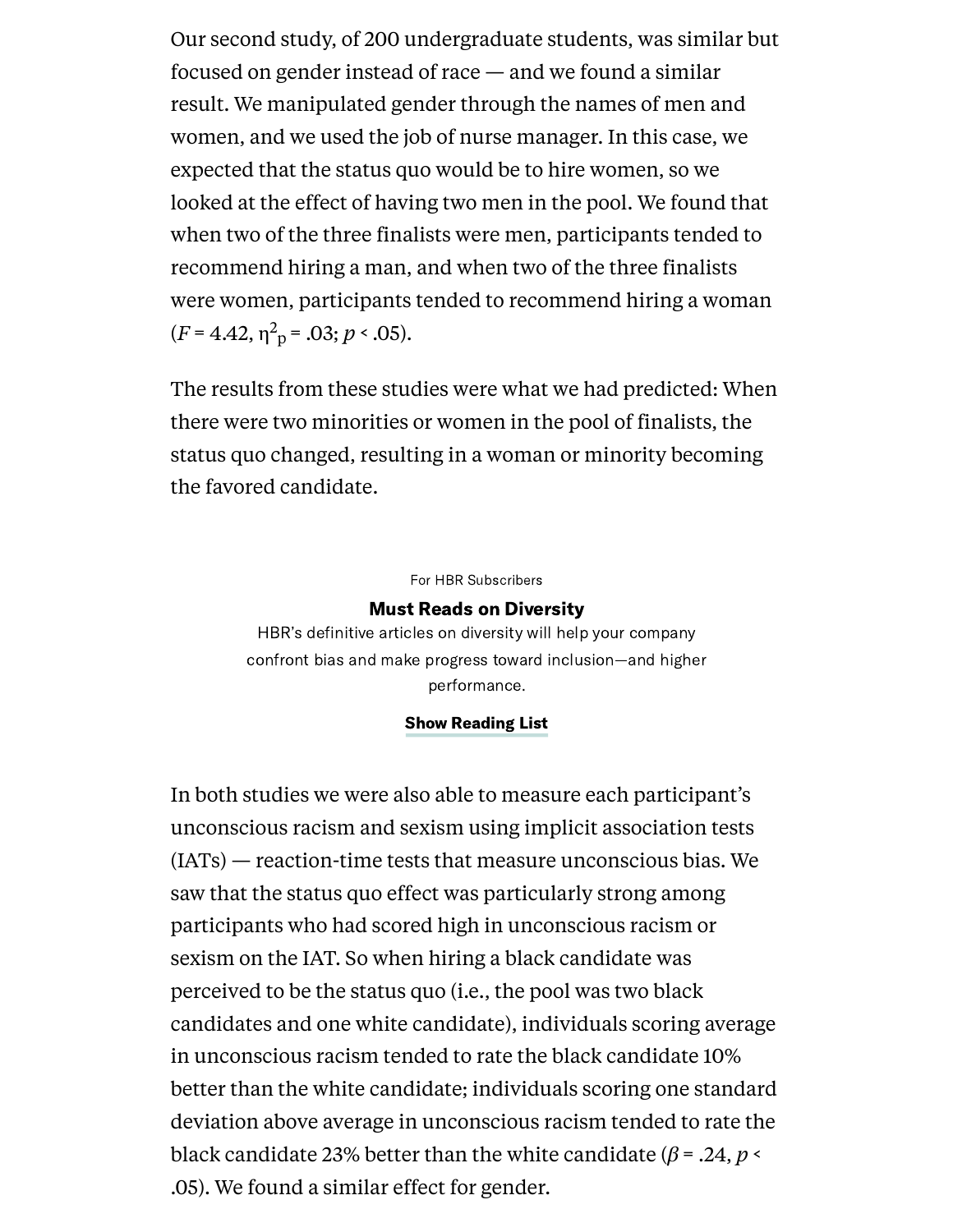Our second study, of 200 undergraduate students, was similar but focused on gender instead of race — and we found a similar result. We manipulated gender through the names of men and women, and we used the job of nurse manager. In this case, we expected that the status quo would be to hire women, so we looked at the effect of having two men in the pool. We found that when two of the three finalists were men, participants tended to recommend hiring a man, and when two of the three finalists were women, participants tended to recommend hiring a woman  $(F = 4.42, \eta^2 \text{ p} = .03; p < .05).$ 

The results from these studies were what we had predicted: When there were two minorities or women in the pool of finalists, the status quo changed, resulting in a woman or minority becoming the favored candidate.

#### For HBR Subscribers

#### Must Reads on Diversity

HBR's definitive articles on diversity will help your company confront bias and make progress toward inclusion—and higher performance.

#### Show Reading List

In both studies we were also able to measure each participant's unconscious racism and sexism using implicit association tests ([IATs\)](https://implicit.harvard.edu/implicit/education.html) — reaction-time tests that measure unconscious bias. We saw that the status quo effect was particularly strong among participants who had scored high in unconscious racism or sexism on the IAT. So when hiring a black candidate was perceived to be the status quo (i.e., the pool was two black candidates and one white candidate), individuals scoring average in unconscious racism tended to rate the black candidate 10% better than the white candidate; individuals scoring one standard deviation above average in unconscious racism tended to rate the black candidate 23% better than the white candidate (*β* = .24, *p* < .05). We found a similar effect for gender.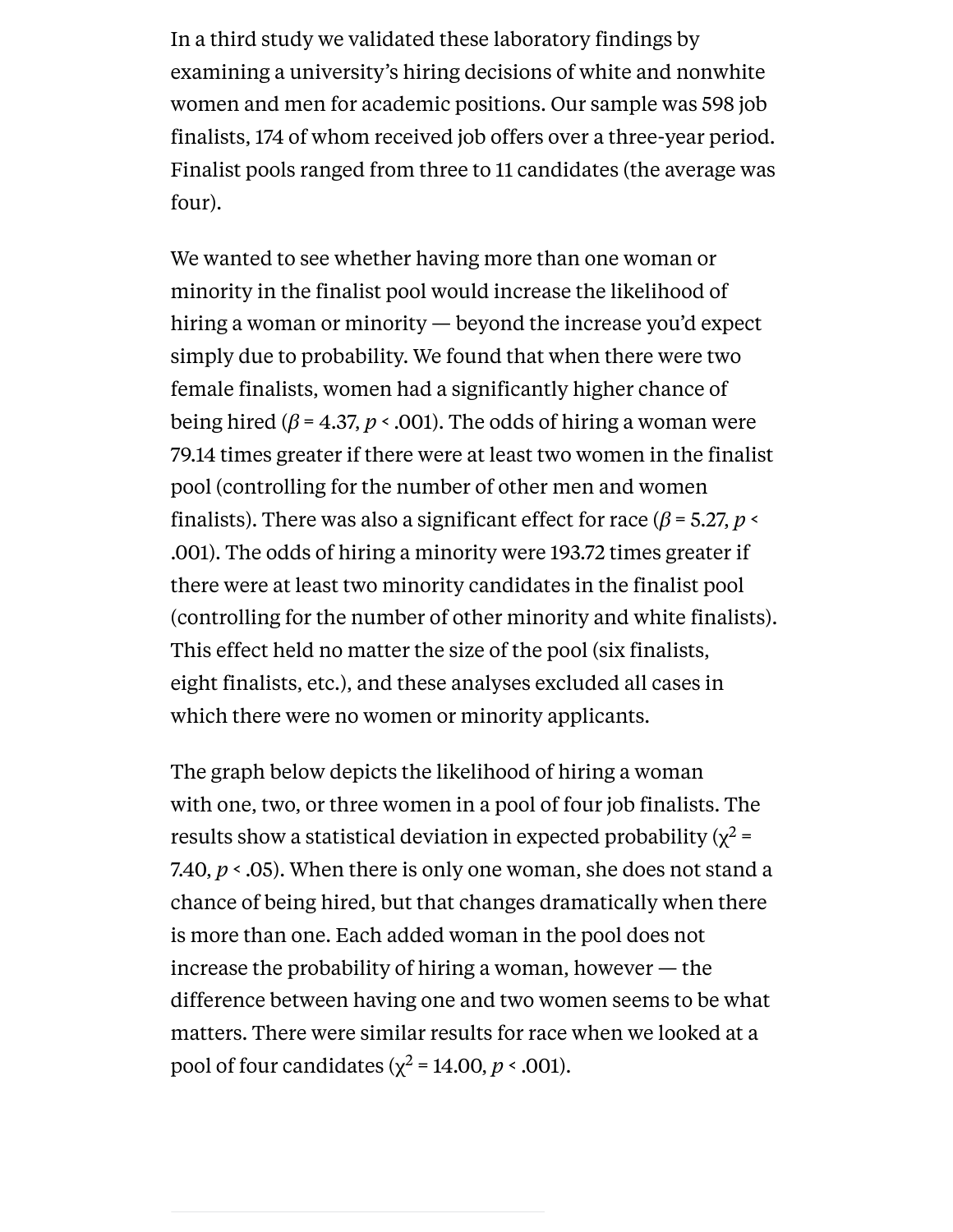In a third study we validated these laboratory findings by examining a university's hiring decisions of white and nonwhite women and men for academic positions. Our sample was 598 job finalists, 174 of whom received job offers over a three-year period. Finalist pools ranged from three to 11 candidates (the average was four).

We wanted to see whether having more than one woman or minority in the finalist pool would increase the likelihood of hiring a woman or minority — beyond the increase you'd expect simply due to probability. We found that when there were two female finalists, women had a significantly higher chance of being hired (*β* = 4.37, *p* < .001). The odds of hiring a woman were 79.14 times greater if there were at least two women in the finalist pool (controlling for the number of other men and women finalists). There was also a significant effect for race ( $\beta$  = 5.27, *p* < .001). The odds of hiring a minority were 193.72 times greater if there were at least two minority candidates in the finalist pool (controlling for the number of other minority and white finalists). This effect held no matter the size of the pool (six finalists, eight finalists, etc.), and these analyses excluded all cases in which there were no women or minority applicants.

The graph below depicts the likelihood of hiring a woman with one, two, or three women in a pool of four job finalists. The results show a statistical deviation in expected probability ( $\chi^2$  = 7.40,  $p < 0.05$ ). When there is only one woman, she does not stand a chance of being hired, but that changes dramatically when there is more than one. Each added woman in the pool does not increase the probability of hiring a woman, however — the difference between having one and two women seems to be what matters. There were similar results for race when we looked at a pool of four candidates ( $\chi^2$  = 14.00, *p* < .001).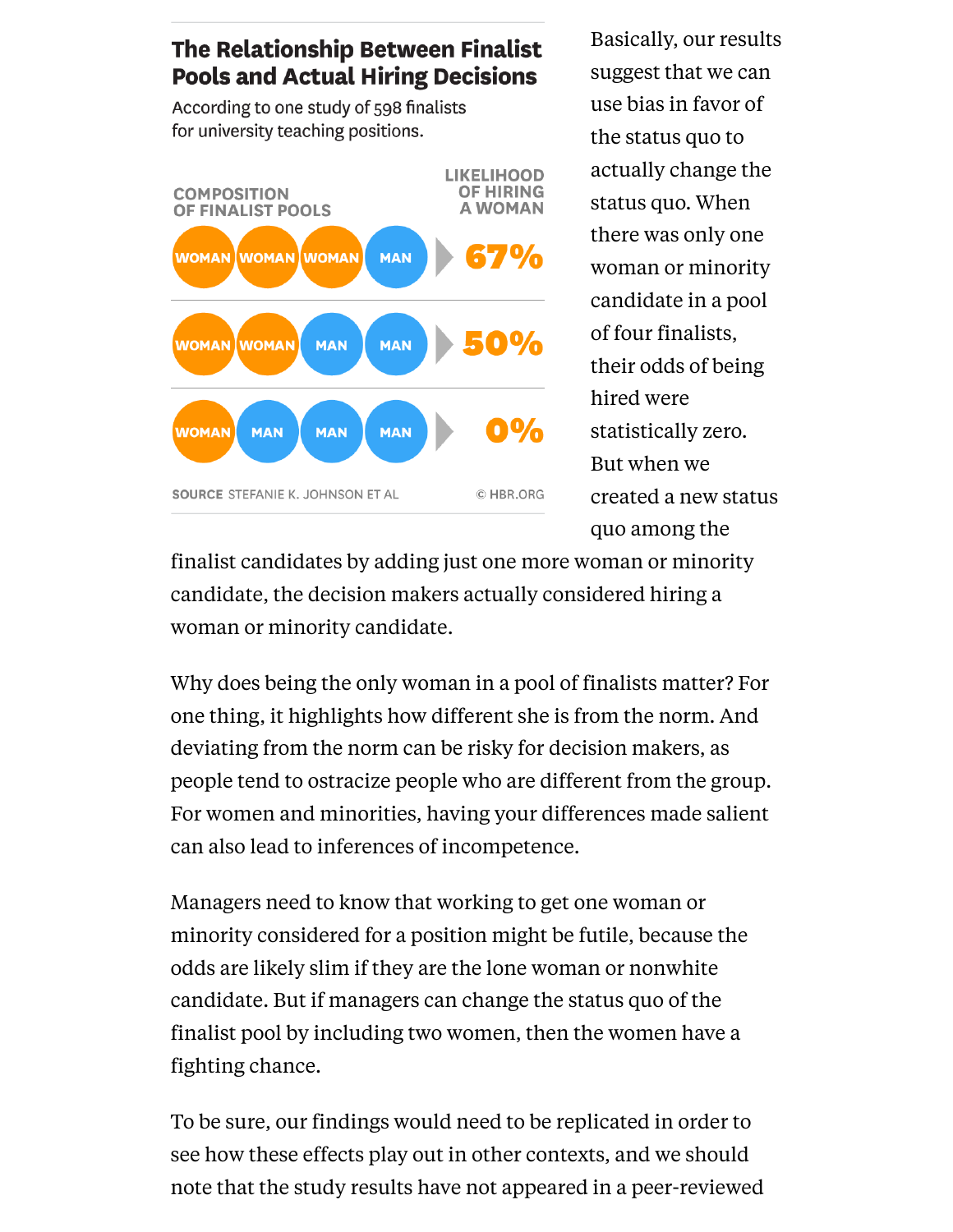### The Relationship Between Finalist **Pools and Actual Hiring Decisions**

According to one study of 598 finalists for university teaching positions.



Basically, our results suggest that we can use bias in favor of the status quo to actually change the status quo. When there was only one woman or minority candidate in a pool of four finalists, their odds of being hired were statistically zero. But when we created a new status quo among the

finalist candidates by adding just one more woman or minority candidate, the decision makers actually considered hiring a woman or minority candidate.

Why does being the only woman in a pool of finalists matter? For one thing, it highlights how different she is from the [norm](http://www.jstor.org/stable/2777808?seq=1#page_scan_tab_contents). And deviating from the norm can be risky for decision makers, as people tend to ostracize people who are [different](http://link.springer.com/article/10.1007%2FBF00055564) from the group. For women and minorities, having your differences made salient can also lead to inferences of [incompetence](http://www.ncbi.nlm.nih.gov/pubmed/12051578).

Managers need to know that working to get one woman or minority considered for a position might be futile, because the odds are likely slim if they are the lone woman or nonwhite candidate. But if managers can change the status quo of the finalist pool by including two women, then the women have a fighting chance.

To be sure, our findings would need to be replicated in order to see how these effects play out in other contexts, and we should note that the study results have not appeared in a peer-reviewed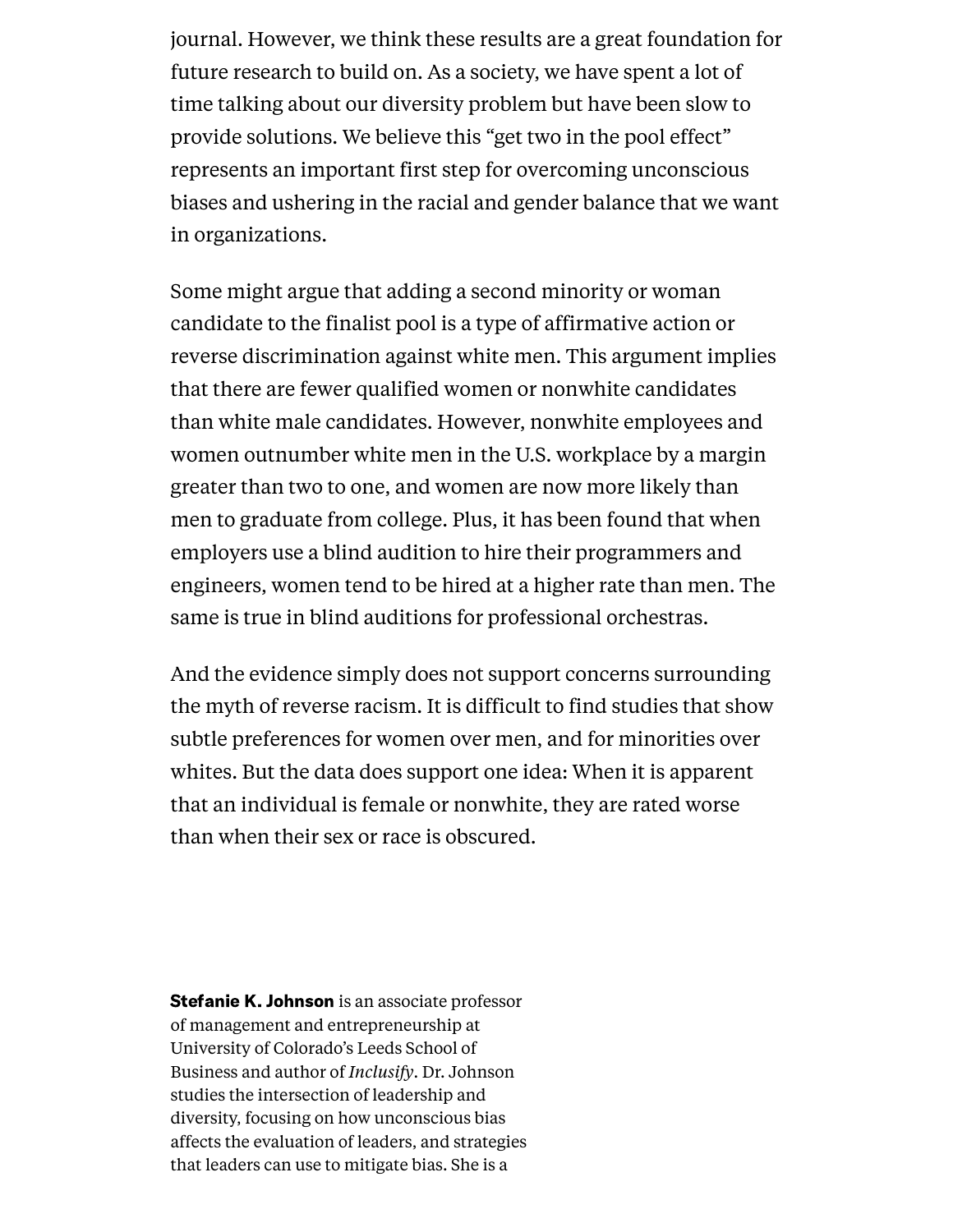journal. However, we think these results are a great foundation for future research to build on. As a society, we have spent a lot of time talking about our diversity problem but have been slow to provide solutions. We believe this "get two in the pool effect" represents an important first step for overcoming unconscious biases and ushering in the racial and gender balance that we want in organizations.

Some might argue that adding a second minority or woman candidate to the finalist pool is a type of affirmative action or reverse discrimination against white men. This argument implies that there are fewer qualified women or nonwhite candidates than white male candidates. However, nonwhite employees and women outnumber white men in the U.S. workplace by a margin greater than two to [one](https://www.americanprogress.org/issues/labor/report/2012/07/12/11938/the-state-of-diversity-in-todays-workforce/), and women are now more likely than men to [graduate](http://www.usnews.com/news/blogs/data-mine/2014/10/31/women-more-likely-to-graduate-college-but-still-earn-less-than-men) from college. Plus, it has been found that when employers use a blind audition to hire their programmers and engineers, women tend to be hired at a [higher](http://www.businessinsider.com/companies-are-using-blind-auditions-to-hire-top-talent-2015-5) rate than men. The same is true in blind auditions for [professional](http://www.nber.org/papers/w5903) orchestras.

And the evidence simply does not support concerns surrounding the myth of [reverse](http://www.huffingtonpost.com/entry/reverse-racism-isnt-a-thing_us_55d60a91e4b07addcb45da97) racism. It is difficult to find studies that show subtle preferences for women over men, and for minorities over whites. But the data does support one idea: When it is apparent that an individual is [female](https://peerj.com/preprints/1733.pdf) or [nonwhite,](http://asq.sagepub.com/content/early/2016/03/09/0001839216639577) they are rated worse than when their sex or race is obscured.

[Stefanie](https://hbr.org/search?term=stefanie%20k.%20johnson&search_type=search-all) K. Johnson is an associate professor of management and entrepreneurship at University of Colorado's Leeds School of Business and author of *[Inclusify](https://inclusifybook.com/product/inclusify-book/)*. Dr. Johnson studies the intersection of leadership and diversity, focusing on how unconscious bias affects the evaluation of leaders, and strategies that leaders can use to mitigate bias. She is a